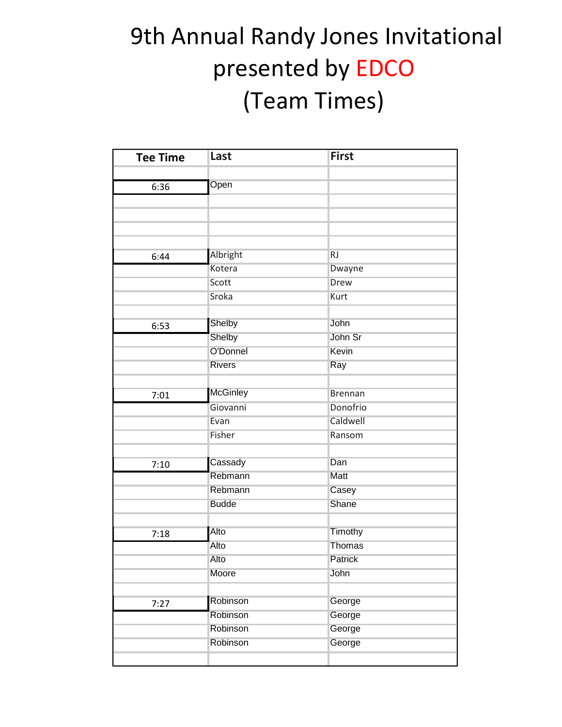| <b>Tee Time</b> | Last             | <b>First</b>               |
|-----------------|------------------|----------------------------|
|                 |                  |                            |
| 6:36            | Open             |                            |
|                 |                  |                            |
|                 |                  |                            |
|                 |                  |                            |
|                 |                  |                            |
| 6:44            | Albright         | RJ                         |
|                 | Kotera           | Dwayne                     |
|                 | Scott            | <b>Drew</b>                |
|                 | Sroka            | Kurt                       |
|                 |                  |                            |
| 6:53            | Shelby           | John                       |
|                 | Shelby           | John Sr                    |
|                 | O'Donnel         | Kevin                      |
|                 | <b>Rivers</b>    | Ray                        |
|                 |                  |                            |
| 7:01            | <b>McGinley</b>  | <b>Brennan</b><br>Donofrio |
|                 | Giovanni<br>Evan | Caldwell                   |
|                 | Fisher           | Ransom                     |
|                 |                  |                            |
|                 | Cassady          | Dan                        |
| 7:10            | Rebmann          | Matt                       |
|                 | Rebmann          | Casey                      |
|                 | <b>Budde</b>     | Shane                      |
|                 |                  |                            |
| 7:18            | Alto             | Timothy                    |
|                 | Alto             | <b>Thomas</b>              |
|                 | Alto             | Patrick                    |
|                 | Moore            | John                       |
|                 |                  |                            |
| 7:27            | Robinson         | George                     |
|                 | Robinson         | George                     |
|                 | Robinson         | George                     |
|                 | Robinson         | George                     |
|                 |                  |                            |
|                 |                  |                            |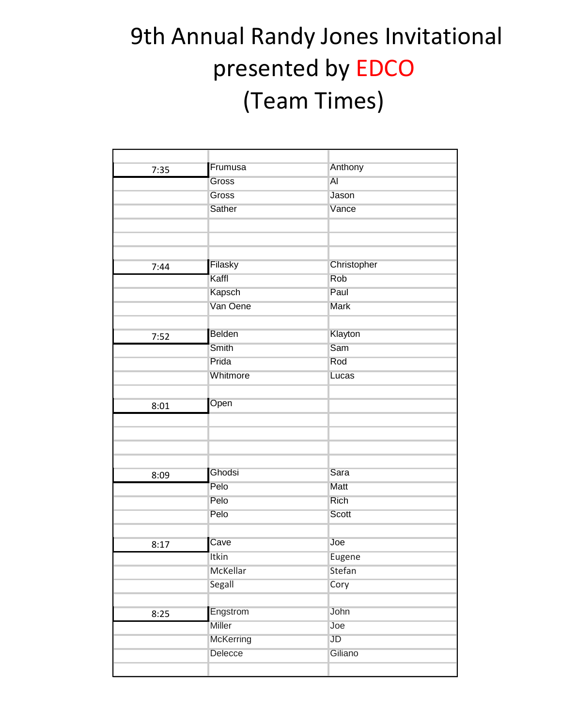| 7:35 | Frumusa   | Anthony      |  |
|------|-----------|--------------|--|
|      | Gross     | AI           |  |
|      | Gross     | Jason        |  |
|      | Sather    | Vance        |  |
|      |           |              |  |
|      |           |              |  |
|      |           |              |  |
| 7:44 | Filasky   | Christopher  |  |
|      | Kaffl     | Rob          |  |
|      | Kapsch    | Paul         |  |
|      | Van Oene  | Mark         |  |
|      |           |              |  |
| 7:52 | Belden    | Klayton      |  |
|      | Smith     | Sam          |  |
|      | Prida     | Rod          |  |
|      | Whitmore  | Lucas        |  |
|      |           |              |  |
| 8:01 | Open      |              |  |
|      |           |              |  |
|      |           |              |  |
|      |           |              |  |
|      |           |              |  |
| 8:09 | Ghodsi    | Sara         |  |
|      | Pelo      | Matt         |  |
|      | Pelo      | <b>Rich</b>  |  |
|      | Pelo      | <b>Scott</b> |  |
|      |           |              |  |
| 8:17 | Cave      | Joe          |  |
|      | Itkin     | Eugene       |  |
|      | McKellar  | Stefan       |  |
|      | Segall    | Cory         |  |
|      |           |              |  |
| 8:25 | Engstrom  | John         |  |
|      | Miller    | Joe          |  |
|      | McKerring | JD           |  |
|      | Delecce   | Giliano      |  |
|      |           |              |  |
|      |           |              |  |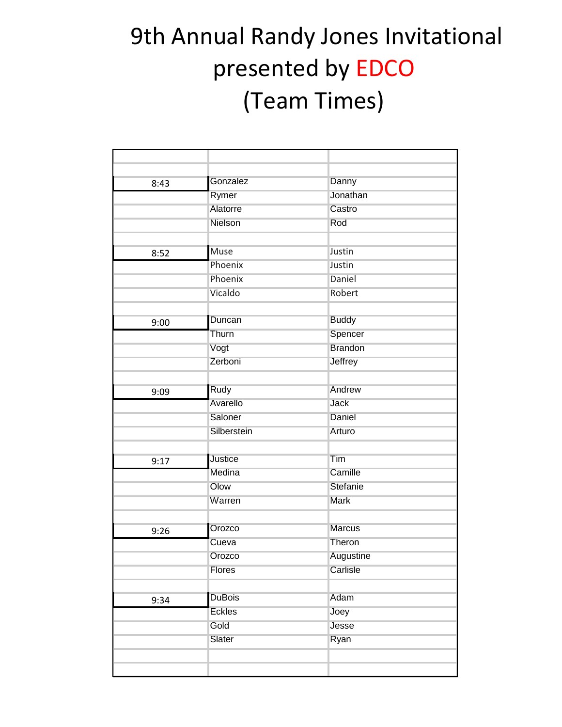| 8:43 | Gonzalez       | Danny          |  |
|------|----------------|----------------|--|
|      | Rymer          | Jonathan       |  |
|      | Alatorre       | Castro         |  |
|      | Nielson        | Rod            |  |
|      |                |                |  |
| 8:52 | <b>Muse</b>    | Justin         |  |
|      | Phoenix        | Justin         |  |
|      | Phoenix        | Daniel         |  |
|      | Vicaldo        | Robert         |  |
|      |                |                |  |
| 9:00 | Duncan         | <b>Buddy</b>   |  |
|      | Thurn          | Spencer        |  |
|      | Vogt           | <b>Brandon</b> |  |
|      | Zerboni        | Jeffrey        |  |
|      |                |                |  |
| 9:09 | Rudy           | Andrew         |  |
|      | Avarello       | <b>Jack</b>    |  |
|      | Saloner        | Daniel         |  |
|      | Silberstein    | Arturo         |  |
|      |                |                |  |
| 9:17 | <b>Justice</b> | Tim            |  |
|      | Medina         | Camille        |  |
|      | Olow           | Stefanie       |  |
|      | Warren         | Mark           |  |
|      |                |                |  |
| 9:26 | Orozco         | <b>Marcus</b>  |  |
|      | Cueva          | Theron         |  |
|      | Orozco         | Augustine      |  |
|      | Flores         | Carlisle       |  |
|      |                |                |  |
| 9:34 | <b>DuBois</b>  | Adam           |  |
|      | <b>Eckles</b>  | Joey           |  |
|      | Gold           | Jesse          |  |
|      | Slater         | Ryan           |  |
|      |                |                |  |
|      |                |                |  |
|      |                |                |  |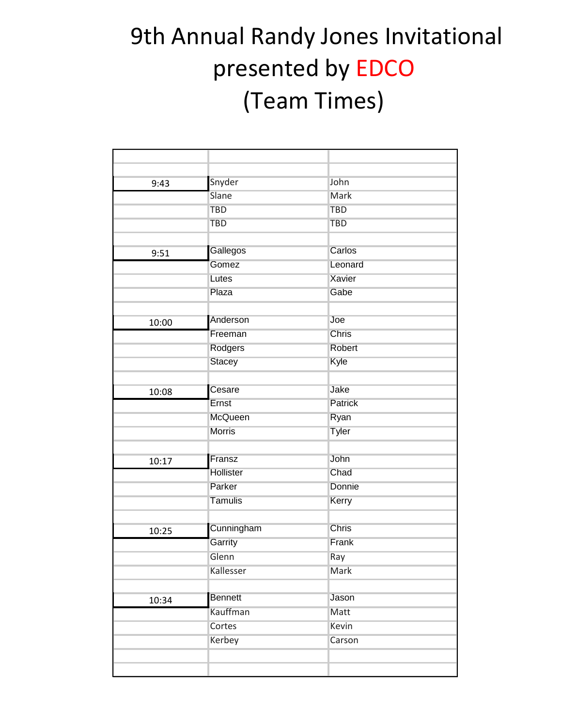| 9:43  | Snyder         | John       |  |
|-------|----------------|------------|--|
|       | Slane          | Mark       |  |
|       | <b>TBD</b>     | <b>TBD</b> |  |
|       | <b>TBD</b>     | <b>TBD</b> |  |
|       |                |            |  |
| 9:51  | Gallegos       | Carlos     |  |
|       | Gomez          | Leonard    |  |
|       | Lutes          | Xavier     |  |
|       | Plaza          | Gabe       |  |
|       |                |            |  |
| 10:00 | Anderson       | Joe        |  |
|       | Freeman        | Chris      |  |
|       | Rodgers        | Robert     |  |
|       | <b>Stacey</b>  | Kyle       |  |
|       |                |            |  |
| 10:08 | Cesare         | Jake       |  |
|       | Ernst          | Patrick    |  |
|       | McQueen        | Ryan       |  |
|       | <b>Morris</b>  | Tyler      |  |
|       |                |            |  |
| 10:17 | Fransz         | John       |  |
|       | Hollister      | Chad       |  |
|       | Parker         | Donnie     |  |
|       | Tamulis        | Kerry      |  |
|       |                |            |  |
| 10:25 | Cunningham     | Chris      |  |
|       | Garrity        | Frank      |  |
|       | Glenn          | Ray        |  |
|       | Kallesser      | Mark       |  |
|       |                |            |  |
| 10:34 | <b>Bennett</b> | Jason      |  |
|       | Kauffman       | Matt       |  |
|       | Cortes         | Kevin      |  |
|       | Kerbey         | Carson     |  |
|       |                |            |  |
|       |                |            |  |
|       |                |            |  |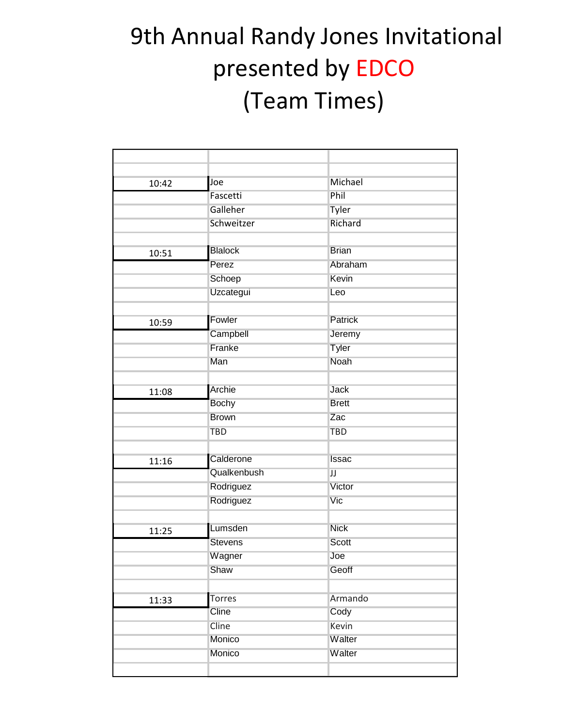| 10:42 | Joe            | Michael        |  |
|-------|----------------|----------------|--|
|       | Fascetti       | Phil           |  |
|       | Galleher       | Tyler          |  |
|       | Schweitzer     | Richard        |  |
|       |                |                |  |
| 10:51 | <b>Blalock</b> | <b>Brian</b>   |  |
|       | Perez          | Abraham        |  |
|       | Schoep         | Kevin          |  |
|       | Uzcategui      | Leo            |  |
|       |                |                |  |
| 10:59 | Fowler         | <b>Patrick</b> |  |
|       | Campbell       | Jeremy         |  |
|       | Franke         | Tyler          |  |
|       | Man            | Noah           |  |
|       |                |                |  |
| 11:08 | Archie         | <b>Jack</b>    |  |
|       | <b>Bochy</b>   | <b>Brett</b>   |  |
|       | <b>Brown</b>   | Zac            |  |
|       | <b>TBD</b>     | <b>TBD</b>     |  |
|       |                |                |  |
| 11:16 | Calderone      | <b>Issac</b>   |  |
|       | Qualkenbush    | IJ             |  |
|       | Rodriguez      | Victor         |  |
|       | Rodriguez      | Vic            |  |
|       |                |                |  |
| 11:25 | Lumsden        | <b>Nick</b>    |  |
|       | <b>Stevens</b> | Scott          |  |
|       | Wagner         | Joe            |  |
|       | Shaw           | Geoff          |  |
|       |                |                |  |
| 11:33 | <b>Torres</b>  | Armando        |  |
|       | Cline          | Cody           |  |
|       | Cline          | Kevin          |  |
|       | Monico         | Walter         |  |
|       | Monico         | Walter         |  |
|       |                |                |  |
|       |                |                |  |